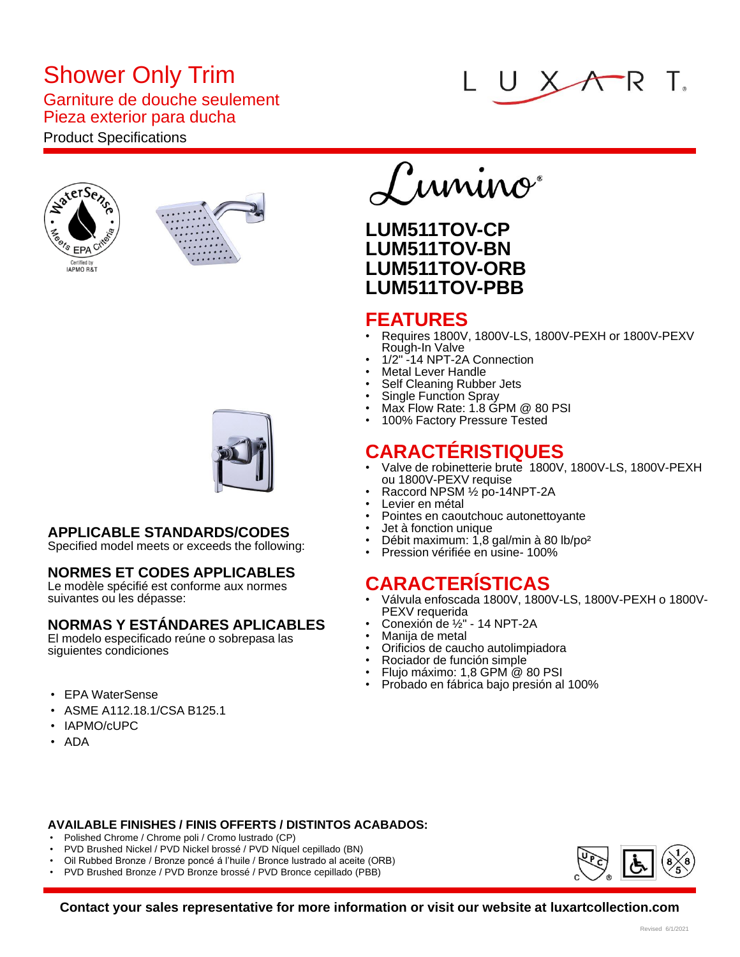# Shower Only Trim

#### Garniture de douche seulement Pieza exterior para ducha

## Product Specifications







### **APPLICABLE STANDARDS/CODES**

Specified model meets or exceeds the following:

#### **NORMES ET CODES APPLICABLES**

Le modèle spécifié est conforme aux normes suivantes ou les dépasse:

### **NORMAS Y ESTÁNDARES APLICABLES**

El modelo especificado reúne o sobrepasa las siguientes condiciones

- EPA WaterSense
- ASME A112.18.1/CSA B125.1
- IAPMO/cUPC
- ADA



## **LUM511TOV-CP LUM511TOV-BN LUM511TOV-ORB LUM511TOV-PBB**

### **FEATURES**

- Requires 1800V, 1800V-LS, 1800V-PEXH or 1800V-PEXV Rough-In Valve
- 1/2" -14 NPT-2A Connection
- Metal Lever Handle
- Self Cleaning Rubber Jets
- Single Function Spray • Max Flow Rate: 1.8 GPM @ 80 PSI
- 100% Factory Pressure Tested

## **CARACTÉRISTIQUES**

- Valve de robinetterie brute 1800V, 1800V-LS, 1800V-PEXH ou 1800V-PEXV requise
- Raccord NPSM ½ po-14NPT-2A
- Levier en métal
- Pointes en caoutchouc autonettoyante
- Jet à fonction unique
- Débit maximum: 1,8 gal/min à 80 lb/po²
- Pression vérifiée en usine- 100%

## **CARACTERÍSTICAS**

- Válvula enfoscada 1800V, 1800V-LS, 1800V-PEXH o 1800V-PEXV requerida
- Conexión de ½" 14 NPT-2A
- Manija de metal
- Orificios de caucho autolimpiadora
- Rociador de función simple
- Flujo máximo: 1,8 GPM @ 80 PSI
- Probado en fábrica bajo presión al 100%

- **AVAILABLE FINISHES / FINIS OFFERTS / DISTINTOS ACABADOS:**
- Polished Chrome / Chrome poli / Cromo lustrado (CP)
- PVD Brushed Nickel / PVD Nickel brossé / PVD Níquel cepillado (BN)
- Oil Rubbed Bronze / Bronze poncé á l'huile / Bronce lustrado al aceite (ORB)
- PVD Brushed Bronze / PVD Bronze brossé / PVD Bronce cepillado (PBB)



**Contact your sales representative for more information or visit our website at luxartcollection.com**